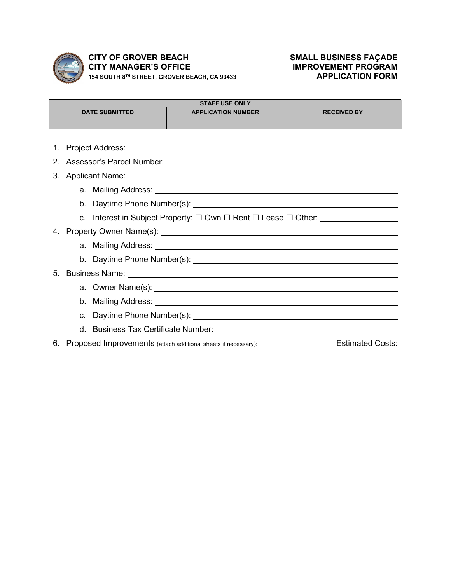

## **CITY OF GROVER BEACH SMALL BUSINESS FAÇADE<br>
CITY MANAGER'S OFFICE MANAGER'S OFFICE CITY MANAGER'S OFFICE IMPROVEMENT PROGRAM 154 SOUTH 8TH STREET, GROVER BEACH, CA 93433 APPLICATION FORM**

| <b>STAFF USE ONLY</b> |                                                                                                |                                                                                                                                                                                                                                |                         |  |
|-----------------------|------------------------------------------------------------------------------------------------|--------------------------------------------------------------------------------------------------------------------------------------------------------------------------------------------------------------------------------|-------------------------|--|
|                       | <b>DATE SUBMITTED</b>                                                                          | <b>APPLICATION NUMBER</b>                                                                                                                                                                                                      | <b>RECEIVED BY</b>      |  |
|                       |                                                                                                |                                                                                                                                                                                                                                |                         |  |
| 1.                    |                                                                                                |                                                                                                                                                                                                                                |                         |  |
| $2_{\cdot}$           |                                                                                                |                                                                                                                                                                                                                                |                         |  |
| 3.                    |                                                                                                |                                                                                                                                                                                                                                |                         |  |
|                       |                                                                                                |                                                                                                                                                                                                                                |                         |  |
|                       |                                                                                                |                                                                                                                                                                                                                                |                         |  |
|                       |                                                                                                |                                                                                                                                                                                                                                |                         |  |
|                       | c. Interest in Subject Property: $\square$ Own $\square$ Rent $\square$ Lease $\square$ Other: |                                                                                                                                                                                                                                |                         |  |
|                       |                                                                                                |                                                                                                                                                                                                                                |                         |  |
|                       |                                                                                                |                                                                                                                                                                                                                                |                         |  |
| 5.                    |                                                                                                |                                                                                                                                                                                                                                |                         |  |
|                       |                                                                                                |                                                                                                                                                                                                                                |                         |  |
|                       |                                                                                                | b. Mailing Address: University of the Mail Control of the Mail Control of the Mail Control of the Mail Control of the Mail Control of the Mail Control of the Mail Control of the Mail Control of the Mail Control of the Mail |                         |  |
|                       |                                                                                                |                                                                                                                                                                                                                                |                         |  |
|                       |                                                                                                |                                                                                                                                                                                                                                |                         |  |
| 6.                    |                                                                                                | Proposed Improvements (attach additional sheets if necessary):                                                                                                                                                                 | <b>Estimated Costs:</b> |  |
|                       |                                                                                                |                                                                                                                                                                                                                                |                         |  |
|                       |                                                                                                |                                                                                                                                                                                                                                |                         |  |
|                       |                                                                                                |                                                                                                                                                                                                                                |                         |  |
|                       |                                                                                                |                                                                                                                                                                                                                                |                         |  |
|                       |                                                                                                |                                                                                                                                                                                                                                |                         |  |
|                       |                                                                                                |                                                                                                                                                                                                                                |                         |  |
|                       |                                                                                                |                                                                                                                                                                                                                                |                         |  |
|                       |                                                                                                |                                                                                                                                                                                                                                |                         |  |
|                       |                                                                                                |                                                                                                                                                                                                                                |                         |  |
|                       |                                                                                                |                                                                                                                                                                                                                                |                         |  |
|                       |                                                                                                |                                                                                                                                                                                                                                |                         |  |
|                       |                                                                                                |                                                                                                                                                                                                                                |                         |  |